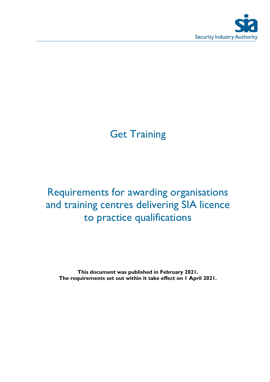

# **Get Training**

# Requirements for awarding organisations and training centres delivering SIA licence to practice qualifications

**This document was published in February 2021. The requirements set out within it take effect on 1 April 2021.**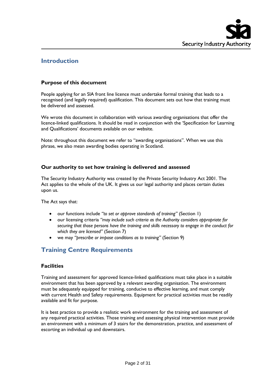

# **Introduction**

# **Purpose of this document**

People applying for an SIA front line licence must undertake formal training that leads to a recognised (and legally required) qualification. This document sets out how that training must be delivered and assessed.

We wrote this document in collaboration with various awarding organisations that offer the licence-linked qualifications. It should be read in conjunction with the 'Specification for Learning and Qualifications' documents available on our website.

Note: throughout this document we refer to "awarding organisations". When we use this phrase, we also mean awarding bodies operating in Scotland.

# **Our authority to set how training is delivered and assessed**

The Security Industry Authority was created by the Private Security Industry Act 2001. The Act applies to the whole of the UK. It gives us our legal authority and places certain duties upon us.

The Act says that:

- our functions include *"to set or approve standards of training"* (Section 1)
- our licensing criteria *"may include such criteria as the Authority considers appropriate for securing that those persons have the training and skills necessary to engage in the conduct for which they are licensed"* (Section 7)
- we may *"prescribe or impose conditions as to training"* (Section 9)

# **Training Centre Requirements**

# **Facilities**

Training and assessment for approved licence-linked qualifications must take place in a suitable environment that has been approved by a relevant awarding organisation. The environment must be adequately equipped for training, conducive to effective learning, and must comply with current Health and Safety requirements. Equipment for practical activities must be readily available and fit for purpose.

It is best practice to provide a realistic work environment for the training and assessment of any required practical activities. Those training and assessing physical intervention must provide an environment with a minimum of 3 stairs for the demonstration, practice, and assessment of escorting an individual up and downstairs.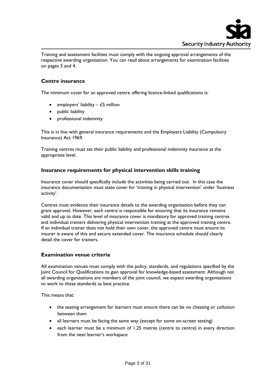

Training and assessment facilities must comply with the ongoing approval arrangements of the respective awarding organisation. You can read about arrangements for examination facilities on pages 3 and 4.

### **Centre insurance**

The minimum cover for an approved centre offering licence-linked qualifications is:

- employers' liability  $-$  £5 million
- public liability
- professional indemnity

This is in line with general insurance requirements and the Employers Liability (Compulsory Insurance) Act 1969.

Training centres must set their public liability and professional indemnity insurance at the appropriate level.

#### **Insurance requirements for physical intervention skills training**

Insurance cover should specifically include the activities being carried out. In this case the insurance documentation must state cover for 'training in physical intervention' under 'business activity'.

Centres must evidence their insurance details to the awarding organisation before they can grant approval. However, each centre is responsible for ensuring that its insurance remains valid and up to date. This level of insurance cover is mandatory for approved training centres and individual trainers delivering physical intervention training at the approved training centre. If an individual trainer does not hold their own cover, the approved centre must ensure its insurer is aware of this and secure extended cover. The insurance schedule should clearly detail the cover for trainers.

#### **Examination venue criteria**

All examination venues must comply with the policy, standards, and regulations specified by the Joint Council for Qualifications to gain approval for knowledge-based assessment. Although not all awarding organisations are members of the joint council, we expect awarding organisations to work to these standards as best practice.

This means that:

- the seating arrangement for learners must ensure there can be no cheating or collusion between them
- all learners must be facing the same way (except for some on-screen testing)
- each learner must be a minimum of 1.25 metres (centre to centre) in every direction from the next learner's workspace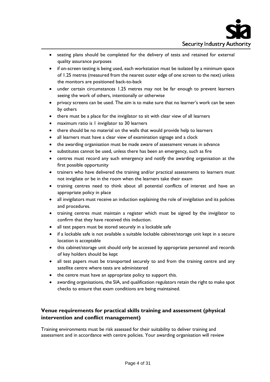- seating plans should be completed for the delivery of tests and retained for external quality assurance purposes
- if on-screen testing is being used, each workstation must be isolated by a minimum space of 1.25 metres (measured from the nearest outer edge of one screen to the next) unless the monitors are positioned back-to-back
- under certain circumstances 1.25 metres may not be far enough to prevent learners seeing the work of others, intentionally or otherwise
- privacy screens can be used. The aim is to make sure that no learner's work can be seen by others
- there must be a place for the invigilator to sit with clear view of all learners
- maximum ratio is 1 invigilator to 30 learners
- there should be no material on the walls that would provide help to learners
- all learners must have a clear view of examination signage and a clock
- the awarding organisation must be made aware of assessment venues in advance
- substitutes cannot be used, unless there has been an emergency, such as fire
- centres must record any such emergency and notify the awarding organisation at the first possible opportunity
- trainers who have delivered the training and/or practical assessments to learners must not invigilate or be in the room when the learners take their exam
- training centres need to think about all potential conflicts of interest and have an appropriate policy in place
- all invigilators must receive an induction explaining the role of invigilation and its policies and procedures.
- training centres must maintain a register which must be signed by the invigilator to confirm that they have received this induction.
- all test papers must be stored securely in a lockable safe
- if a lockable safe is not available a suitable lockable cabinet/storage unit kept in a secure location is acceptable
- this cabinet/storage unit should only be accessed by appropriate personnel and records of key holders should be kept
- all test papers must be transported securely to and from the training centre and any satellite centre where tests are administered
- the centre must have an appropriate policy to support this.
- awarding organisations, the SIA, and qualification regulators retain the right to make spot checks to ensure that exam conditions are being maintained.

# **Venue requirements for practical skills training and assessment (physical intervention and conflict management)**

Training environments must be risk assessed for their suitability to deliver training and assessment and in accordance with centre policies. Your awarding organisation will review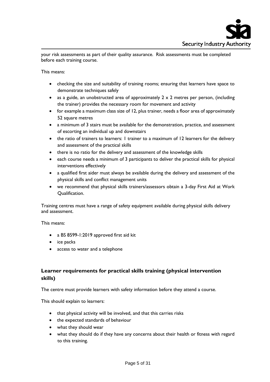

your risk assessments as part of their quality assurance. Risk assessments must be completed before each training course.

This means:

- checking the size and suitability of training rooms; ensuring that learners have space to demonstrate techniques safely
- as a guide, an unobstructed area of approximately  $2 \times 2$  metres per person, (including the trainer) provides the necessary room for movement and activity
- for example a maximum class size of 12, plus trainer, needs a floor area of approximately 52 square metres
- a minimum of 3 stairs must be available for the demonstration, practice, and assessment of escorting an individual up and downstairs
- the ratio of trainers to learners: I trainer to a maximum of 12 learners for the delivery and assessment of the practical skills
- there is no ratio for the delivery and assessment of the knowledge skills
- each course needs a minimum of 3 participants to deliver the practical skills for physical interventions effectively
- a qualified first aider must always be available during the delivery and assessment of the physical skills and conflict management units
- we recommend that physical skills trainers/assessors obtain a 3-day First Aid at Work Qualification.

Training centres must have a range of safety equipment available during physical skills delivery and assessment.

This means:

- a BS 8599-1:2019 approved first aid kit
- ice packs
- access to water and a telephone

# **Learner requirements for practical skills training (physical intervention skills)**

The centre must provide learners with safety information before they attend a course.

This should explain to learners:

- that physical activity will be involved, and that this carries risks
- the expected standards of behaviour
- what they should wear
- what they should do if they have any concerns about their health or fitness with regard to this training.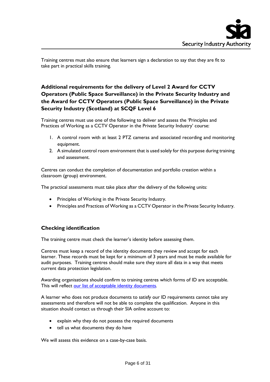Training centres must also ensure that learners sign a declaration to say that they are fit to take part in practical skills training.

# **Additional requirements for the delivery of Level 2 Award for CCTV Operators (Public Space Surveillance) in the Private Security Industry and the Award for CCTV Operators (Public Space Surveillance) in the Private Security Industry (Scotland) at SCQF Level 6**

Training centres must use one of the following to deliver and assess the 'Principles and Practices of Working as a CCTV Operator in the Private Security Industry' course:

- 1. A control room with at least 2 PTZ cameras and associated recording and monitoring equipment.
- 2. A simulated control room environment that is used solely for this purpose during training and assessment.

Centres can conduct the completion of documentation and portfolio creation within a classroom (group) environment.

The practical assessments must take place after the delivery of the following units:

- Principles of Working in the Private Security Industry.
- Principles and Practices of Working as a CCTV Operator in the Private Security Industry.

# **Checking identification**

The training centre must check the learner's identity before assessing them.

Centres must keep a record of the identity documents they review and accept for each learner. These records must be kept for a minimum of 3 years and must be made available for audit purposes. Training centres should make sure they store all data in a way that meets current data protection legislation.

Awarding organisations should confirm to training centres which forms of ID are acceptable. This will reflect our [list of acceptable identity documents](https://www.gov.uk/guidance/apply-for-an-sia-licence#check-you-have-the-right-document)*.*

A learner who does not produce documents to satisfy our ID requirements cannot take any assessments and therefore will not be able to complete the qualification. Anyone in this situation should contact us through their SIA online account to:

- explain why they do not possess the required documents
- tell us what documents they do have

We will assess this evidence on a case-by-case basis.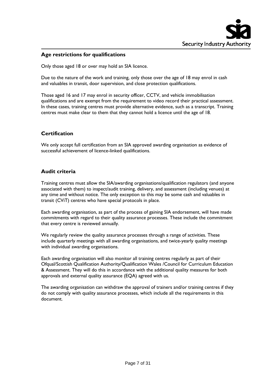

# **Age restrictions for qualifications**

Only those aged 18 or over may hold an SIA licence.

Due to the nature of the work and training, only those over the age of 18 may enrol in cash and valuables in transit, door supervision, and close protection qualifications.

Those aged 16 and 17 may enrol in security officer, CCTV, and vehicle immobilisation qualifications and are exempt from the requirement to video record their practical assessment. In these cases, training centres must provide alternative evidence, such as a transcript. Training centres must make clear to them that they cannot hold a licence until the age of 18.

# **Certification**

We only accept full certification from an SIA approved awarding organisation as evidence of successful achievement of licence-linked qualifications.

# **Audit criteria**

Training centres must allow the SIA/awarding organisations/qualification regulators (and anyone associated with them) to inspect/audit training, delivery, and assessment (including venues) at any time and without notice. The only exception to this may be some cash and valuables in transit (CViT) centres who have special protocols in place.

Each awarding organisation, as part of the process of gaining SIA endorsement, will have made commitments with regard to their quality assurance processes. These include the commitment that every centre is reviewed annually.

We regularly review the quality assurance processes through a range of activities. These include quarterly meetings with all awarding organisations, and twice-yearly quality meetings with individual awarding organisations.

Each awarding organisation will also monitor all training centres regularly as part of their Ofqual/Scottish Qualification Authority/Qualification Wales /Council for Curriculum Education & Assessment. They will do this in accordance with the additional quality measures for both approvals and external quality assurance (EQA) agreed with us.

The awarding organisation can withdraw the approval of trainers and/or training centres if they do not comply with quality assurance processes, which include all the requirements in this document.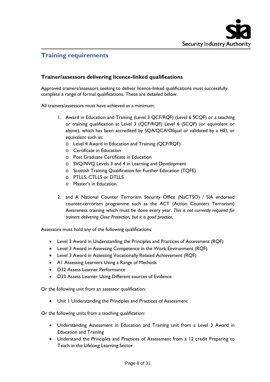

# **Training requirements**

# **Trainer/assessors delivering licence-linked qualifications**

Approved trainers/assessors seeking to deliver licence-linked qualifications must successfully complete a range of formal qualifications. These are detailed below.

All trainers/assessors must have achieved as a minimum:

- 1. Award in Education and Training (Level 3 QCF/RQF) (Level 6 SCQF) or a teaching or training qualification at Level 3 (QCF/RQF) Level 6 (SCQF) (or equivalent or above), which has been accredited by SQA/QCA/Ofqual or validated by a HEI, or equivalent such as:
	- o Level 4 Award in Education and Training (QCF/RQF)
	- o Certificate in Education
	- o Post Graduate Certificate in Education
	- o SVQ/NVQ Levels 3 and 4 in Learning and Development
	- o Scottish Training Qualification for Further Education (TQFE)
	- o PTLLS, CTLLS or DTLLS
	- o Master's in Education
- 2. and A National Counter Terrorism Security Office (NaCTSO) / SIA endorsed counter-terrorism programme such as the ACT (Action Counters Terrorism) Awareness training which must be done every year. *This is not currently required for trainers delivering Close Protection, but it is good practice.*

Assessors must hold any of the following qualifications:

- Level 3 Award in Understanding the Principles and Practices of Assessment (RQF)
- Level 3 Award in Assessing Competence in the Work Environment (RQF)
- Level 3 Award in Assessing Vocationally Related Achievement (RQF)
- A1 Assessing Learners Using a Range of Methods
- D32 Assess Learner Performance
- D33 Assess Learner Using Different sources of Evidence

Or the following unit from an assessor qualification:

Unit 1 Understanding the Principles and Practices of Assessment

Or the following units from a teaching qualification:

- Understanding Assessment in Education and Training unit from a Level 3 Award in Education and Training
- Understand the Principles and Practices of Assessment from a 12 credit Preparing to Teach in the Lifelong Learning Sector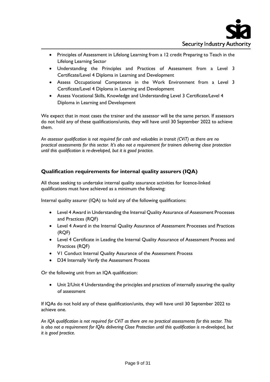

- Principles of Assessment in Lifelong Learning from a 12 credit Preparing to Teach in the Lifelong Learning Sector
- Understanding the Principles and Practices of Assessment from a Level 3 Certificate/Level 4 Diploma in Learning and Development
- Assess Occupational Competence in the Work Environment from a Level 3 Certificate/Level 4 Diploma in Learning and Development
- Assess Vocational Skills, Knowledge and Understanding Level 3 Certificate/Level 4 Diploma in Learning and Development

We expect that in most cases the trainer and the assessor will be the same person. If assessors do not hold any of these qualifications/units, they will have until 30 September 2022 to achieve them.

*An assessor qualification is not required for cash and valuables in transit (CViT) as there are no practical assessments for this sector. It's also not a requirement for trainers delivering close protection until this qualification is re-developed, but it is good practice.*

# **Qualification requirements for internal quality assurers (IQA)**

All those seeking to undertake internal quality assurance activities for licence-linked qualifications must have achieved as a minimum the following:

Internal quality assurer (IQA) to hold any of the following qualifications:

- Level 4 Award in Understanding the Internal Quality Assurance of Assessment Processes and Practices (RQF)
- Level 4 Award in the Internal Quality Assurance of Assessment Processes and Practices (RQF)
- Level 4 Certificate in Leading the Internal Quality Assurance of Assessment Process and Practices (RQF)
- V1 Conduct Internal Quality Assurance of the Assessment Process
- D34 Internally Verify the Assessment Process

Or the following unit from an IQA qualification:

• Unit 2/Unit 4 Understanding the principles and practices of internally assuring the quality of assessment

If IQAs do not hold any of these qualification/units, they will have until 30 September 2022 to achieve one.

*An IQA qualification is not required for CViT as there are no practical assessments for this sector. This is also not a requirement for IQAs delivering Close Protection until this qualification is re-developed, but it is good practice.*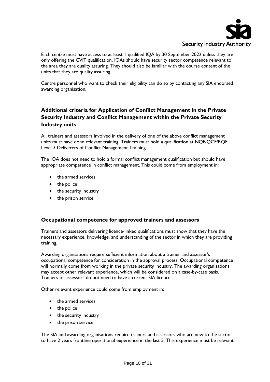

Each centre must have access to at least 1 qualified IQA by 30 September 2022 unless they are only offering the CViT qualification. IQAs should have security sector competence relevant to the area they are quality assuring. They should also be familiar with the course content of the units that they are quality assuring.

Centre personnel who want to check their eligibility can do so by contacting any SIA endorsed awarding organisation.

# **Additional criteria for Application of Conflict Management in the Private Security Industry and Conflict Management within the Private Security Industry units**

All trainers and assessors involved in the delivery of one of the above conflict management units must have done relevant training. Trainers must hold a qualification at NQF/QCF/RQF Level 3 Deliverers of Conflict Management Training.

The IQA does not need to hold a formal conflict management qualification but should have appropriate competence in conflict management. This could come from employment in:

- the armed services
- the police
- the security industry
- the prison service

#### **Occupational competence for approved trainers and assessors**

Trainers and assessors delivering licence-linked qualifications must show that they have the necessary experience, knowledge, and understanding of the sector in which they are providing training.

Awarding organisations require sufficient information about a trainer and assessor's occupational competence for consideration in the approval process. Occupational competence will normally come from working in the private security industry. The awarding organisations may accept other relevant experience, which will be considered on a case-by-case basis. Trainers or assessors do not need to have a current SIA licence.

Other relevant experience could come from employment in:

- the armed services
- the police
- the security industry
- the prison service

The SIA and awarding organisations require trainers and assessors who are new to the sector to have 2 years frontline operational experience in the last 5. This experience must be relevant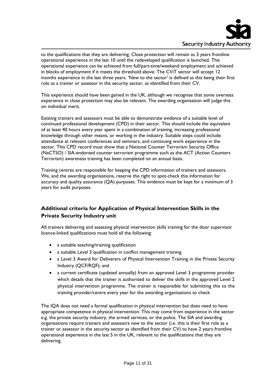

to the qualifications that they are delivering. Close protection will remain as 3 years frontline operational experience in the last 10 until the redeveloped qualification is launched. This operational experience can be achieved from full/part-time/weekend employment and achieved in blocks of employment if it meets the threshold above. The CViT sector will accept 12 months experience in the last three years. 'New to the sector' is defined as this being their first role as a trainer or assessor in the security sector, as identified from their CV.

This experience should have been gained in the UK, although we recognise that some overseas experience in close protection may also be relevant. The awarding organisation will judge this on individual merit.

Existing trainers and assessors must be able to demonstrate evidence of a suitable level of continued professional development (CPD) in their sector. This should include the equivalent of at least 40 hours every year spent in a combination of training, increasing professional knowledge through other means, or working in the industry. Suitable steps could include attendance at relevant conferences and seminars, and continuing work experience in the sector. This CPD record must show that a National Counter Terrorism Security Office (NaCTSO) / SIA-endorsed counter terrorism programme such as the ACT (Action Counters Terrorism) awareness training has been completed on an annual basis.

Training centres are responsible for keeping the CPD information of trainers and assessors. We, and the awarding organisations, reserve the right to spot-check this information for accuracy and quality assurance (QA) purposes. This evidence must be kept for a minimum of 3 years for audit purposes.

# **Additional criteria for Application of Physical Intervention Skills in the Private Security Industry unit**

All trainers delivering and assessing physical intervention skills training for the door supervisor licence-linked qualifications must hold all the following:

- a suitable teaching/training qualification
- a suitable Level 3 qualification in conflict management training
- a Level 3 Award for Deliverers of Physical Intervention Training in the Private Security Industry (QCF/RQF); and
- a current certificate (updated annually) from an approved Level 3 programme provider which details that the trainer is authorised to deliver the skills in the approved Level 2 physical intervention programme. The trainer is responsible for submitting this to the training provider/centre every year for the awarding organisations to check

The IQA does not need a formal qualification in physical intervention but does need to have appropriate competence in physical intervention. This may come from experience in the sector e.g. the private security industry, the armed services, or the police. The SIA and awarding organisations require trainers and assessors new to the sector (i.e. this is their first role as a trainer or assessor in the security sector as identified from their CV) to have 2 years frontline operational experience in the last 5 in the UK, relevant to the qualifications that they are delivering.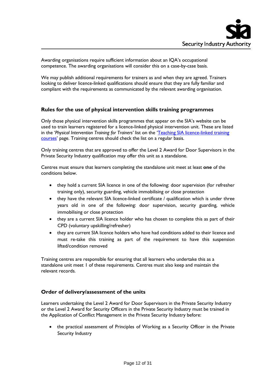Awarding organisations require sufficient information about an IQA's occupational competence. The awarding organisations will consider this on a case-by-case basis.

We may publish additional requirements for trainers as and when they are agreed. Trainers looking to deliver licence-linked qualifications should ensure that they are fully familiar and compliant with the requirements as communicated by the relevant awarding organisation.

# **Rules for the use of physical intervention skills training programmes**

Only those physical intervention skills programmes that appear on the SIA's website can be used to train learners registered for a licence-linked physical intervention unit. These are listed in the '*Physical Intervention Training for Trainers'* list on the ['Teaching SIA licence-linked training](https://www.gov.uk/guidance/teaching-sia-licence-linked-training-courses)  [courses'](https://www.gov.uk/guidance/teaching-sia-licence-linked-training-courses) page. Training centres should check the list on a regular basis.

Only training centres that are approved to offer the Level 2 Award for Door Supervisors in the Private Security Industry qualification may offer this unit as a standalone.

Centres must ensure that learners completing the standalone unit meet at least **one** of the conditions below.

- they hold a current SIA licence in one of the following: door supervision (for refresher training only), security guarding, vehicle immobilising or close protection
- they have the relevant SIA licence-linked certificate / qualification which is under three years old in one of the following: door supervision, security guarding, vehicle immobilising or close protection
- they are a current SIA licence holder who has chosen to complete this as part of their CPD (voluntary upskilling/refresher)
- they are current SIA licence holders who have had conditions added to their licence and must re-take this training as part of the requirement to have this suspension lifted/condition removed

Training centres are responsible for ensuring that all learners who undertake this as a standalone unit meet 1 of these requirements. Centres must also keep and maintain the relevant records.

#### **Order of delivery/assessment of the units**

Learners undertaking the Level 2 Award for Door Supervisors in the Private Security Industry or the Level 2 Award for Security Officers in the Private Security Industry must be trained in the Application of Conflict Management in the Private Security Industry before:

• the practical assessment of Principles of Working as a Security Officer in the Private Security Industry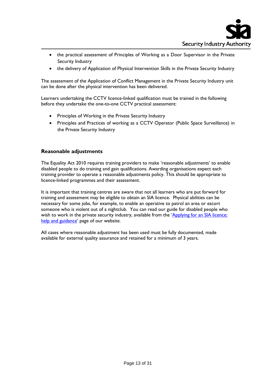

- the practical assessment of Principles of Working as a Door Supervisor in the Private Security Industry
- the delivery of Application of Physical Intervention Skills in the Private Security Industry

The assessment of the Application of Conflict Management in the Private Security Industry unit can be done after the physical intervention has been delivered.

Learners undertaking the CCTV licence-linked qualification must be trained in the following before they undertake the one-to-one CCTV practical assessment:

- Principles of Working in the Private Security Industry
- Principles and Practices of working as a CCTV Operator (Public Space Surveillance) in the Private Security Industry

#### **Reasonable adjustments**

The Equality Act 2010 requires training providers to make 'reasonable adjustments' to enable disabled people to do training and gain qualifications. Awarding organisations expect each training provider to operate a reasonable adjustments policy. This should be appropriate to licence-linked programmes and their assessment.

It is important that training centres are aware that not all learners who are put forward for training and assessment may be eligible to obtain an SIA licence. Physical abilities can be necessary for some jobs, for example, to enable an operative to patrol an area or escort someone who is violent out of a nightclub. You can read our guide for disabled people who wish to work in the private security industry, available from the 'Applying for an SIA licence: [help and guidance'](https://www.gov.uk/government/publications/applying-for-an-sia-licence-help-and-guidance) page of our website.

All cases where reasonable adjustment has been used must be fully documented, made available for external quality assurance and retained for a minimum of 3 years.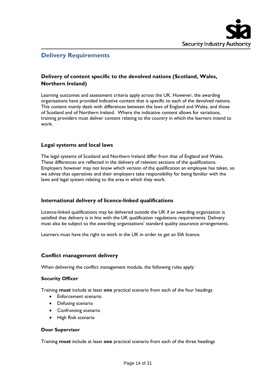

# **Delivery Requirements**

# **Delivery of content specific to the devolved nations (Scotland, Wales, Northern Ireland)**

Learning outcomes and assessment criteria apply across the UK. However, the awarding organisations have provided indicative content that is specific to each of the devolved nations. This content mainly deals with differences between the laws of England and Wales, and those of Scotland and of Northern Ireland. Where the indicative content allows for variations, training providers must deliver content relating to the country in which the learners intend to work.

#### **Legal systems and local laws**

The legal systems of Scotland and Northern Ireland differ from that of England and Wales. These differences are reflected in the delivery of relevant sections of the qualifications. Employers however may not know which version of the qualification an employee has taken, so we advise that operatives and their employers take responsibility for being familiar with the laws and legal system relating to the area in which they work.

# **International delivery of licence-linked qualifications**

Licence-linked qualifications may be delivered outside the UK if an awarding organisation is satisfied that delivery is in line with the UK qualification regulations requirements. Delivery must also be subject to the awarding organisations' standard quality assurance arrangements.

Learners must have the right to work in the UK in order to get an SIA licence.

#### **Conflict management delivery**

When delivering the conflict management module, the following rules apply:

#### **Security Officer**

Training **must** include at least **one** practical scenario from each of the four headings

- Enforcement scenario
- Defusing scenario
- Confronting scenario
- High Risk scenario

#### **Door Supervisor**

Training **must** include at least **one** practical scenario from each of the three headings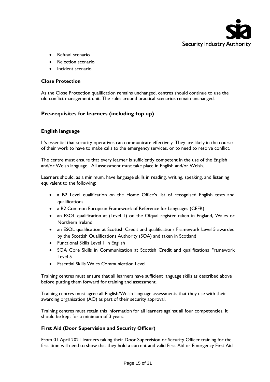

- Refusal scenario
- Rejection scenario
- Incident scenario

#### **Close Protection**

As the Close Protection qualification remains unchanged, centres should continue to use the old conflict management unit. The rules around practical scenarios remain unchanged.

#### **Pre-requisites for learners (including top up)**

#### **English language**

It's essential that security operatives can communicate effectively. They are likely in the course of their work to have to make calls to the emergency services, or to need to resolve conflict.

The centre must ensure that every learner is sufficiently competent in the use of the English and/or Welsh language. All assessment must take place in English and/or Welsh.

Learners should, as a minimum, have language skills in reading, writing, speaking, and listening equivalent to the following:

- a B2 Level qualification on the Home Office's list of recognised English tests and qualifications
- a B2 Common European Framework of Reference for Languages (CEFR)
- an ESOL qualification at (Level 1) on the Ofqual register taken in England, Wales or Northern Ireland
- an ESOL qualification at Scottish Credit and qualifications Framework Level 5 awarded by the Scottish Qualifications Authority (SQA) and taken in Scotland
- Functional Skills Level 1 in English
- SQA Core Skills in Communication at Scottish Credit and qualifications Framework Level 5
- **Essential Skills Wales Communication Level 1**

Training centres must ensure that all learners have sufficient language skills as described above before putting them forward for training and assessment.

Training centres must agree all English/Welsh language assessments that they use with their awarding organisation (AO) as part of their security approval.

Training centres must retain this information for all learners against all four competencies. It should be kept for a minimum of 3 years.

#### **First Aid (Door Supervision and Security Officer)**

From 01 April 2021 learners taking their Door Supervision or Security Officer training for the first time will need to show that they hold a current and valid First Aid or Emergency First Aid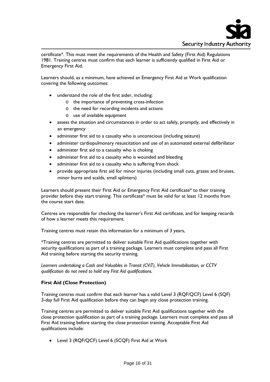

certificate\*. This must meet the requirements of the Health and Safety (First Aid) Regulations 1981. Training centres must confirm that each learner is sufficiently qualified in First Aid or Emergency First Aid.

Learners should, as a minimum, have achieved an Emergency First Aid at Work qualification covering the following outcomes:

- understand the role of the first aider, including:
	- o the importance of preventing cross-infection
		- o the need for recording incidents and actions
		- o use of available equipment
- assess the situation and circumstances in order to act safely, promptly, and effectively in an emergency
- administer first aid to a casualty who is unconscious (including seizure)
- administer cardiopulmonary resuscitation and use of an automated external defibrillator
- administer first aid to a casualty who is choking
- administer first aid to a casualty who is wounded and bleeding
- administer first aid to a casualty who is suffering from shock
- provide appropriate first aid for minor injuries (including small cuts, grazes and bruises, minor burns and scalds, small splinters)

Learners should present their First Aid or Emergency First Aid certificate\* to their training provider before they start training. This certificate\* must be valid for at least 12 months from the course start date.

Centres are responsible for checking the learner's First Aid certificate, and for keeping records of how a learner meets this requirement.

Training centres must retain this information for a minimum of 3 years,

\*Training centres are permitted to deliver suitable First Aid qualifications together with security qualifications as part of a training package. Learners must complete and pass all First Aid training before starting the security training.

*Learners undertaking a Cash and Valuables in Transit (CViT), Vehicle Immobilisation, or CCTV qualification do not need to hold any First Aid qualifications.*

#### **First Aid (Close Protection)**

Training centres must confirm that each learner has a valid Level 3 (RQF/QCF) Level 6 (SQF) 3-day full First Aid qualification before they can begin any close protection training.

Training centres are permitted to deliver suitable First Aid qualifications together with the close protection qualification as part of a training package. Learners must complete and pass all First Aid training before starting the close protection training. Acceptable First Aid qualifications include:

• Level 3 (RQF/QCF) Level 6 (SCQF) First Aid at Work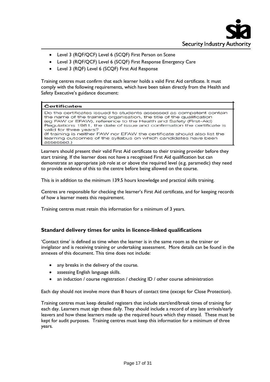

- Level 3 (RQF/QCF) Level 6 (SCQF) First Person on Scene
- Level 3 (RQF/QCF) Level 6 (SCQF) First Response Emergency Care
- Level 3 (RQF) Level 6 (SCQF) First Aid Response

Training centres must confirm that each learner holds a valid First Aid certificate. It must comply with the following requirements, which have been taken directly from the Health and Safety Executive's guidance document:

#### **Certificates**

Do the certificates issued to students assessed as competent contain the name of the training organisation, the title of the qualification (eg FAW or EFAW), reference to the Health and Safety (First-Aid) Regulations 1981, the date of issue and confirmation the certificate is valid for three years? (If training is neither FAW nor EFAW the certificate should also list the learning outcomes of the syllabus on which candidates have been assessed.)

Learners should present their valid First Aid certificate to their training provider before they start training. If the learner does not have a recognised First Aid qualification but can demonstrate an appropriate job role at or above the required level (e.g. paramedic) they need to provide evidence of this to the centre before being allowed on the course.

This is in addition to the minimum 139.5 hours knowledge and practical skills training.

Centres are responsible for checking the learner's First Aid certificate, and for keeping records of how a learner meets this requirement.

Training centres must retain this information for a minimum of 3 years.

#### **Standard delivery times for units in licence-linked qualifications**

'Contact time' is defined as time when the learner is in the same room as the trainer or invigilator and is receiving training or undertaking assessment. More details can be found in the annexes of this document. This time does not include:

- any breaks in the delivery of the course.
- assessing English language skills.
- an induction / course registration / checking ID / other course administration

Each day should not involve more than 8 hours of contact time (except for Close Protection).

Training centres must keep detailed registers that include start/end/break times of training for each day. Learners must sign these daily. They should include a record of any late arrivals/early leavers and how these learners made up the required hours which they missed. These must be kept for audit purposes. Training centres must keep this information for a minimum of three years.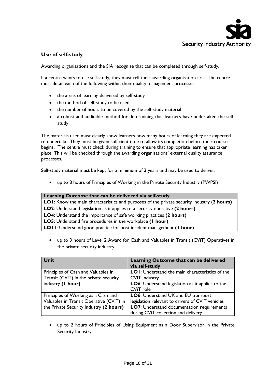# **Use of self-study**

Awarding organisations and the SIA recognise that can be completed through self-study.

If a centre wants to use self-study, they must tell their awarding organisation first. The centre must detail each of the following within their quality management processes:

- the areas of learning delivered by self-study
- the method of self-study to be used
- the number of hours to be covered by the self-study material
- a robust and auditable method for determining that learners have undertaken the selfstudy

The materials used must clearly show learners how many hours of learning they are expected to undertake. They must be given sufficient time to allow its completion before their course begins. The centre must check during training to ensure that appropriate learning has taken place. This will be checked through the awarding organisations' external quality assurance processes.

Self-study material must be kept for a minimum of 3 years and may be used to deliver:

• up to 8 hours of Principles of Working in the Private Security Industry (PWPSI)

#### **Learning Outcome that can be delivered via self-study**

- **LO1**: Know the main characteristics and purposes of the private security industry (**2 hours)**
- **LO2**: Understand legislation as it applies to a security operative **(2 hours)**
- **LO4**: Understand the importance of safe working practices **(2 hours)**
- **LO5**: Understand fire procedures in the workplace **(1 hour)**
- **LO11**: Understand good practice for post incident management **(1 hour)**
	- up to 3 hours of Level 2 Award for Cash and Valuables in Transit (CViT) Operatives in the private security industry

| Unit                                     | Learning Outcome that can be delivered<br>via self-study |
|------------------------------------------|----------------------------------------------------------|
| Principles of Cash and Valuables in      | LOI: Understand the main characteristics of the          |
| Transit (CViT) in the private security   | <b>CViT Industry</b>                                     |
| industry (1 hour)                        | LO6: Understand legislation as it applies to the         |
|                                          | CViT role                                                |
| Principles of Working as a Cash and      | LO6: Understand UK and EU transport                      |
| Valuables in Transit Operative (CViT) in | legislation relevant to drivers of CViT vehicles         |
| the Private Security Industry (2 hours)  | LO7: Understand documentation requirements               |
|                                          | during CViT collection and delivery                      |

• up to 2 hours of Principles of Using Equipment as a Door Supervisor in the Private Security Industry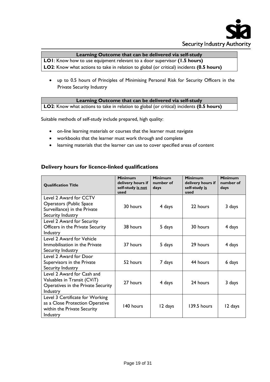

### **Learning Outcome that can be delivered via self-study**

**LO1**: Know how to use equipment relevant to a door supervisor **(1.5 hours)**

- **LO2**: Know what actions to take in relation to global (or critical) incidents **(0.5 hours)**
	- up to 0.5 hours of Principles of Minimising Personal Risk for Security Officers in the Private Security Industry

# **Learning Outcome that can be delivered via self-study**

**LO2**: Know what actions to take in relation to global (or critical) incidents **(0.5 hours)**

Suitable methods of self-study include prepared, high quality:

- on-line learning materials or courses that the learner must navigate
- workbooks that the learner must work through and complete
- learning materials that the learner can use to cover specified areas of content

# **Delivery hours for licence-linked qualifications**

| <b>Minimum</b><br>number of<br>days |  |
|-------------------------------------|--|
|                                     |  |
| 3 days                              |  |
|                                     |  |
|                                     |  |
| 4 days                              |  |
|                                     |  |
|                                     |  |
|                                     |  |
|                                     |  |
|                                     |  |
|                                     |  |
|                                     |  |
|                                     |  |
|                                     |  |
|                                     |  |
|                                     |  |
|                                     |  |
| 12 days                             |  |
|                                     |  |
| 4 days<br>6 days<br>3 days          |  |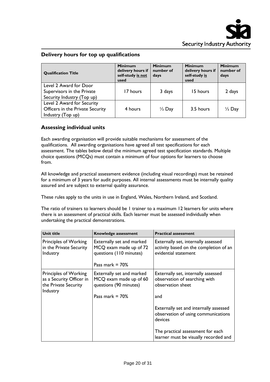# **Delivery hours for top up qualifications**

| <b>Qualification Title</b>                                                          | <b>Minimum</b><br>delivery hours if<br>self-study is not<br>used | <b>Minimum</b><br>number of<br>days | <b>Minimum</b><br>delivery hours if<br>self-study is<br>used | <b>Minimum</b><br>number of<br>days |  |
|-------------------------------------------------------------------------------------|------------------------------------------------------------------|-------------------------------------|--------------------------------------------------------------|-------------------------------------|--|
| Level 2 Award for Door<br>Supervisors in the Private<br>Security Industry (Top up)  | 17 hours                                                         | 3 days                              | 15 hours                                                     | 2 days                              |  |
| Level 2 Award for Security<br>Officers in the Private Security<br>Industry (Top up) | 4 hours                                                          | $\frac{1}{2}$ Day                   | 3.5 hours                                                    | $\frac{1}{2}$ Day                   |  |

# **Assessing individual units**

Each awarding organisation will provide suitable mechanisms for assessment of the qualifications. All awarding organisations have agreed all test specifications for each assessment. The tables below detail the minimum agreed test specification standards. Multiple choice questions (MCQs) must contain a minimum of four options for learners to choose from.

All knowledge and practical assessment evidence (including visual recordings) must be retained for a minimum of 3 years for audit purposes. All internal assessments must be internally quality assured and are subject to external quality assurance.

These rules apply to the units in use in England, Wales, Northern Ireland, and Scotland.

The ratio of trainers to learners should be 1 trainer to a maximum 12 learners for units where there is an assessment of practical skills. Each learner must be assessed individually when undertaking the practical demonstrations.

| <b>Unit title</b>                                                                     | Knowledge assessment                                                                                       | <b>Practical assessment</b>                                                                           |
|---------------------------------------------------------------------------------------|------------------------------------------------------------------------------------------------------------|-------------------------------------------------------------------------------------------------------|
| Principles of Working<br>in the Private Security<br>Industry                          | Externally set and marked<br>MCQ exam made up of 72<br>questions (110 minutes)<br>Pass mark $= 70\%$       | Externally set, internally assessed<br>activity based on the completion of an<br>evidential statement |
| Principles of Working<br>as a Security Officer in<br>the Private Security<br>Industry | <b>Externally set and marked</b><br>MCQ exam made up of 60<br>questions (90 minutes)<br>Pass mark $= 70\%$ | Externally set, internally assessed<br>observation of searching with<br>observation sheet<br>and      |
|                                                                                       |                                                                                                            | Externally set and internally assessed<br>observation of using communications<br>devices              |
|                                                                                       |                                                                                                            | The practical assessment for each<br>learner must be visually recorded and                            |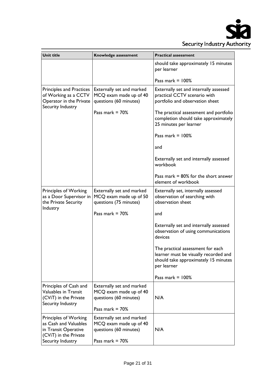

| Unit title                                                                                                           | Knowledge assessment                                                                               | <b>Practical assessment</b>                                                                                                       |
|----------------------------------------------------------------------------------------------------------------------|----------------------------------------------------------------------------------------------------|-----------------------------------------------------------------------------------------------------------------------------------|
|                                                                                                                      |                                                                                                    | should take approximately 15 minutes<br>per learner                                                                               |
|                                                                                                                      |                                                                                                    | Pass mark = $100\%$                                                                                                               |
| <b>Principles and Practices</b><br>of Working as a CCTV<br>Operator in the Private<br>Security Industry              | Externally set and marked<br>MCQ exam made up of 40<br>questions (60 minutes)                      | Externally set and internally assessed<br>practical CCTV scenario with<br>portfolio and observation sheet                         |
|                                                                                                                      | Pass mark $= 70\%$                                                                                 | The practical assessment and portfolio<br>completion should take approximately<br>25 minutes per learner                          |
|                                                                                                                      |                                                                                                    | Pass mark $= 100\%$                                                                                                               |
|                                                                                                                      |                                                                                                    | and                                                                                                                               |
|                                                                                                                      |                                                                                                    | Externally set and internally assessed<br>workbook                                                                                |
|                                                                                                                      |                                                                                                    | Pass mark $= 80\%$ for the short answer<br>element of workbook                                                                    |
| Principles of Working<br>as a Door Supervisor in<br>the Private Security<br>Industry                                 | Externally set and marked<br>MCQ exam made up of 50<br>questions (75 minutes)                      | Externally set, internally assessed<br>observation of searching with<br>observation sheet                                         |
|                                                                                                                      | Pass mark $= 70%$                                                                                  | and                                                                                                                               |
|                                                                                                                      |                                                                                                    | Externally set and internally assessed<br>observation of using communications<br>devices                                          |
|                                                                                                                      |                                                                                                    | The practical assessment for each<br>learner must be visually recorded and<br>should take approximately 15 minutes<br>per learner |
|                                                                                                                      |                                                                                                    | Pass mark $= 100\%$                                                                                                               |
| Principles of Cash and<br>Valuables in Transit<br>(CViT) in the Private<br>Security Industry                         | Externally set and marked<br>MCQ exam made up of 40<br>questions (60 minutes)<br>Pass mark $= 70%$ | N/A                                                                                                                               |
| Principles of Working<br>as Cash and Valuables<br>in Transit Operative<br>(CViT) in the Private<br>Security Industry | Externally set and marked<br>MCQ exam made up of 40<br>questions (60 minutes)<br>Pass mark $= 70%$ | N/A                                                                                                                               |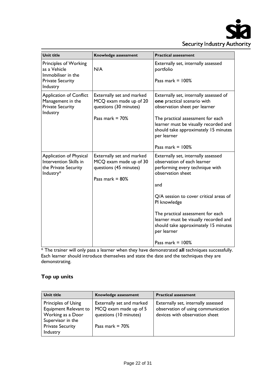

| <b>Unit title</b>                                                                                         | Knowledge assessment                                                                                | <b>Practical assessment</b>                                                                                                                                                                                                                                                                                                                             |
|-----------------------------------------------------------------------------------------------------------|-----------------------------------------------------------------------------------------------------|---------------------------------------------------------------------------------------------------------------------------------------------------------------------------------------------------------------------------------------------------------------------------------------------------------------------------------------------------------|
| <b>Principles of Working</b><br>as a Vehicle<br>Immobiliser in the<br><b>Private Security</b><br>Industry | N/A                                                                                                 | Externally set, internally assessed<br>portfolio<br>Pass mark $= 100\%$                                                                                                                                                                                                                                                                                 |
| <b>Application of Conflict</b><br>Management in the<br><b>Private Security</b><br>Industry                | Externally set and marked<br>MCQ exam made up of 20<br>questions (30 minutes)<br>Pass mark $= 70%$  | Externally set, internally assessed of<br>one practical scenario with<br>observation sheet per learner<br>The practical assessment for each<br>learner must be visually recorded and<br>should take approximately 15 minutes<br>per learner<br>Pass mark = $100\%$                                                                                      |
| Application of Physical<br>Intervention Skills in<br>the Private Security<br>Industry*                    | Externally set and marked<br>MCQ exam made up of 30<br>questions (45 minutes)<br>Pass mark $= 80\%$ | Externally set, internally assessed<br>observation of each learner<br>performing every technique with<br>observation sheet<br>and<br>Q/A session to cover critical areas of<br>PI knowledge<br>The practical assessment for each<br>learner must be visually recorded and<br>should take approximately 15 minutes<br>per learner<br>Pass mark $= 100\%$ |

\* The trainer will only pass a learner when they have demonstrated **all** techniques successfully. Each learner should introduce themselves and state the date and the techniques they are demonstrating.

# **Top up units**

| Unit title                                                                                                                    | Knowledge assessment                                                                               | <b>Practical assessment</b>                                                                                 |
|-------------------------------------------------------------------------------------------------------------------------------|----------------------------------------------------------------------------------------------------|-------------------------------------------------------------------------------------------------------------|
| Principles of Using<br>Equipment Relevant to<br>Working as a Door<br>Supervisor in the<br><b>Private Security</b><br>Industry | Externally set and marked<br>MCQ exam made up of 5<br>questions (10 minutes)<br>Pass mark $= 70\%$ | Externally set, internally assessed<br>observation of using communication<br>devices with observation sheet |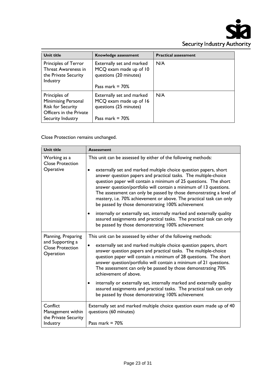

| <b>Unit title</b>                                                                                  | Knowledge assessment                                                                                | <b>Practical assessment</b> |
|----------------------------------------------------------------------------------------------------|-----------------------------------------------------------------------------------------------------|-----------------------------|
| Principles of Terror<br>Threat Awareness in<br>the Private Security<br>Industry                    | Externally set and marked<br>MCQ exam made up of 10<br>questions (20 minutes)<br>Pass mark $= 70\%$ | N/A                         |
|                                                                                                    |                                                                                                     |                             |
| Principles of<br><b>Minimising Personal</b><br><b>Risk for Security</b><br>Officers in the Private | Externally set and marked<br>MCQ exam made up of 16<br>questions (25 minutes)                       | N/A                         |
| Security Industry                                                                                  | Pass mark $= 70\%$                                                                                  |                             |

Close Protection remains unchanged.

| Unit title                                                                      | <b>Assessment</b>                                                                                                                                                                                                                                                                                                                                                                                                                                                                                                                                                                                                                                                                                                                                                                 |
|---------------------------------------------------------------------------------|-----------------------------------------------------------------------------------------------------------------------------------------------------------------------------------------------------------------------------------------------------------------------------------------------------------------------------------------------------------------------------------------------------------------------------------------------------------------------------------------------------------------------------------------------------------------------------------------------------------------------------------------------------------------------------------------------------------------------------------------------------------------------------------|
| Working as a<br><b>Close Protection</b><br>Operative                            | This unit can be assessed by either of the following methods:<br>externally set and marked multiple choice question papers, short<br>$\bullet$<br>answer question papers and practical tasks. The multiple-choice<br>question paper will contain a minimum of 25 questions. The short<br>answer question/portfolio will contain a minimum of 13 questions.<br>The assessment can only be passed by those demonstrating a level of<br>mastery, i.e. 70% achievement or above. The practical task can only<br>be passed by those demonstrating 100% achievement<br>internally or externally set, internally marked and externally quality<br>$\bullet$<br>assured assignments and practical tasks. The practical task can only<br>be passed by those demonstrating 100% achievement |
| Planning, Preparing<br>and Supporting a<br><b>Close Protection</b><br>Operation | This unit can be assessed by either of the following methods:<br>externally set and marked multiple choice question papers, short<br>$\bullet$<br>answer question papers and practical tasks. The multiple-choice<br>question paper will contain a minimum of 28 questions. The short<br>answer question/portfolio will contain a minimum of 21 questions.<br>The assessment can only be passed by those demonstrating 70%<br>achievement of above.<br>internally or externally set, internally marked and externally quality<br>$\bullet$<br>assured assignments and practical tasks. The practical task can only<br>be passed by those demonstrating 100% achievement                                                                                                           |
| Conflict<br>Management within<br>the Private Security<br>Industry               | Externally set and marked multiple choice question exam made up of 40<br>questions (60 minutes)<br>Pass mark $= 70%$                                                                                                                                                                                                                                                                                                                                                                                                                                                                                                                                                                                                                                                              |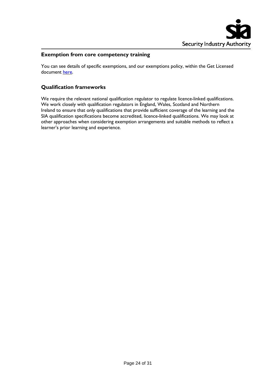

#### **Exemption from core competency training**

You can see details of specific exemptions, and our exemptions policy, within the Get Licensed document [here.](https://www.gov.uk/government/publications/applying-for-an-sia-licence-help-and-guidance)

# **Qualification frameworks**

We require the relevant national qualification regulator to regulate licence-linked qualifications. We work closely with qualification regulators in England, Wales, Scotland and Northern Ireland to ensure that only qualifications that provide sufficient coverage of the learning and the SIA qualification specifications become accredited, licence-linked qualifications. We may look at other approaches when considering exemption arrangements and suitable methods to reflect a learner's prior learning and experience.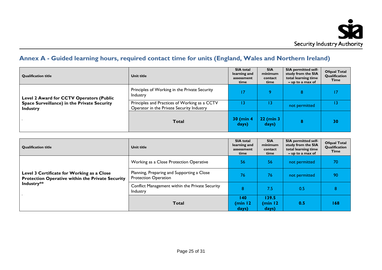

# **Annex A - Guided learning hours, required contact time for units (England, Wales and Northern Ireland)**

| <b>Qualification title</b>                                     | Unit title                                                                                 | <b>SIA</b> total<br>learning and<br>assessment<br>time | <b>SIA</b><br>minimum<br>contact<br>time | <b>SIA permitted self-</b><br>study from the SIA<br>total learning time<br>$-$ up to a max of | <b>Ofqual Total</b><br>Qualification<br>Time |
|----------------------------------------------------------------|--------------------------------------------------------------------------------------------|--------------------------------------------------------|------------------------------------------|-----------------------------------------------------------------------------------------------|----------------------------------------------|
| Level 2 Award for CCTV Operators (Public                       | Principles of Working in the Private Security<br>Industry                                  | 17                                                     | $\circ$                                  | 8                                                                                             |                                              |
| Space Surveillance) in the Private Security<br><b>Industry</b> | Principles and Practices of Working as a CCTV<br>Operator in the Private Security Industry | 13                                                     |                                          | not permitted                                                                                 | 13                                           |
|                                                                | <b>Total</b>                                                                               | 30 (min 4<br>days)                                     | 22 (min 3<br>days)                       | 8                                                                                             | 30                                           |

| <b>Qualification title</b>                                                                                   | Unit title                                                                | <b>SIA</b> total<br>learning and<br>assessment<br>time | <b>SIA</b><br>minimum<br>contact<br>time | <b>SIA permitted self-</b><br>study from the SIA<br>total learning time<br>$-$ up to a max of | <b>Ofqual Total</b><br>Qualification<br>Time |
|--------------------------------------------------------------------------------------------------------------|---------------------------------------------------------------------------|--------------------------------------------------------|------------------------------------------|-----------------------------------------------------------------------------------------------|----------------------------------------------|
|                                                                                                              | Working as a Close Protection Operative                                   | 56                                                     | 56                                       | not permitted                                                                                 | 70                                           |
| Level 3 Certificate for Working as a Close<br>Protection Operative within the Private Security<br>Industry** | Planning, Preparing and Supporting a Close<br><b>Protection Operation</b> | 76                                                     | 76                                       | not permitted                                                                                 | 90                                           |
|                                                                                                              | Conflict Management within the Private Security<br>Industry               | 8                                                      | 7.5                                      | 0.5                                                                                           | 8                                            |
|                                                                                                              | <b>Total</b>                                                              | 140<br>(min 12<br>days)                                | 139.5<br>(min 12<br>days)                | 0.5                                                                                           | 168                                          |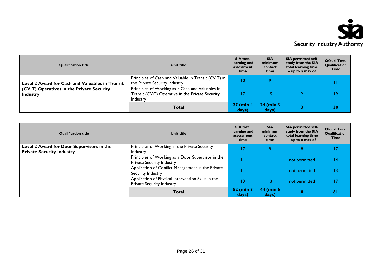

| <b>Qualification title</b>                                   | Unit title                                                                                                       | <b>SIA</b> total<br>learning and<br>assessment<br>time | <b>SIA</b><br>minimum<br>contact<br>time | <b>SIA permitted self-</b><br>study from the SIA<br>total learning time<br>$-$ up to a max of | <b>Ofqual Total</b><br>Qualification<br>Time |
|--------------------------------------------------------------|------------------------------------------------------------------------------------------------------------------|--------------------------------------------------------|------------------------------------------|-----------------------------------------------------------------------------------------------|----------------------------------------------|
| Level 2 Award for Cash and Valuables in Transit              | Principles of Cash and Valuable in Transit (CViT) in<br>the Private Security Industry                            | ۱0                                                     |                                          |                                                                                               | П                                            |
| (CViT) Operatives in the Private Security<br><b>Industry</b> | Principles of Working as a Cash and Valuables in<br>Transit (CViT) Operative in the Private Security<br>Industry | 7                                                      | 15                                       |                                                                                               | $\overline{19}$                              |
|                                                              | <b>Total</b>                                                                                                     | <b>27 (min 4)</b><br>days)                             | <b>24 (min 3)</b><br>days)               |                                                                                               | 30                                           |

| <b>Qualification title</b>                                                    | Unit title                                                                            | <b>SIA</b> total<br>learning and<br>assessment<br>time | <b>SIA</b><br>minimum<br>contact<br>time | <b>SIA permitted self-</b><br>study from the SIA<br>total learning time<br>$-$ up to a max of | <b>Ofqual Total</b><br>Qualification<br>Time |
|-------------------------------------------------------------------------------|---------------------------------------------------------------------------------------|--------------------------------------------------------|------------------------------------------|-----------------------------------------------------------------------------------------------|----------------------------------------------|
| Level 2 Award for Door Supervisors in the<br><b>Private Security Industry</b> | Principles of Working in the Private Security<br>Industry                             | 17                                                     | ٥                                        | 8                                                                                             | 17                                           |
|                                                                               | Principles of Working as a Door Supervisor in the<br><b>Private Security Industry</b> |                                                        | П                                        | not permitted                                                                                 | 14                                           |
|                                                                               | Application of Conflict Management in the Private<br>Security Industry                |                                                        | П                                        | not permitted                                                                                 | 13                                           |
|                                                                               | Application of Physical Intervention Skills in the<br>Private Security Industry       | ۱3                                                     | 13                                       | not permitted                                                                                 | 17                                           |
|                                                                               | <b>Total</b>                                                                          | <b>52 (min 7</b><br>days)                              | 44 (min 6<br>days)                       | 8                                                                                             | 6 I                                          |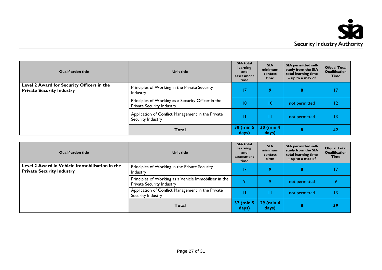

| <b>Qualification title</b>                                                     | <b>Unit title</b>                                                               | <b>SIA</b> total<br>learning<br>and<br>assessment<br>time | <b>SIA</b><br>minimum<br>contact<br>time | <b>SIA permitted self-</b><br>study from the SIA<br>total learning time<br>$-$ up to a max of | <b>Ofqual Total</b><br>Qualification<br>Time |
|--------------------------------------------------------------------------------|---------------------------------------------------------------------------------|-----------------------------------------------------------|------------------------------------------|-----------------------------------------------------------------------------------------------|----------------------------------------------|
| Level 2 Award for Security Officers in the<br><b>Private Security Industry</b> | Principles of Working in the Private Security<br>Industry                       |                                                           | 9                                        | 8                                                                                             | 17                                           |
|                                                                                | Principles of Working as a Security Officer in the<br>Private Security Industry | 10                                                        | 10                                       | not permitted                                                                                 | $12 \,$                                      |
|                                                                                | Application of Conflict Management in the Private<br>Security Industry          |                                                           | П                                        | not permitted                                                                                 | 13                                           |
|                                                                                | <b>Total</b>                                                                    | 38 (min 5<br>days)                                        | 30 (min 4<br>days)                       | 8                                                                                             | 42                                           |

| <b>Qualification title</b>                                                         | Unit title                                                                         | <b>SIA</b> total<br>learning<br>and<br>assessment<br>time | <b>SIA</b><br>minimum<br>contact<br>time | <b>SIA permitted self-</b><br>study from the SIA<br>total learning time<br>$-$ up to a max of | <b>Ofqual Total</b><br>Qualification<br>Time |
|------------------------------------------------------------------------------------|------------------------------------------------------------------------------------|-----------------------------------------------------------|------------------------------------------|-----------------------------------------------------------------------------------------------|----------------------------------------------|
| Level 2 Award in Vehicle Immobilisation in the<br><b>Private Security Industry</b> | Principles of Working in the Private Security<br>Industry                          |                                                           | $\bullet$                                | 8                                                                                             | 17                                           |
|                                                                                    | Principles of Working as a Vehicle Immobiliser in the<br>Private Security Industry | $\circ$                                                   | Ο                                        | not permitted                                                                                 |                                              |
|                                                                                    | Application of Conflict Management in the Private<br>Security Industry             |                                                           |                                          | not permitted                                                                                 |                                              |
|                                                                                    | <b>Total</b>                                                                       | 37 (min 5<br>days)                                        | <b>29 (min 4)</b><br>days)               | 8                                                                                             | 39                                           |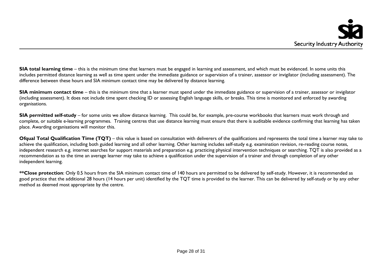**SIA total learning time** – this is the minimum time that learners must be engaged in learning and assessment, and which must be evidenced. In some units this includes permitted distance learning as well as time spent under the immediate guidance or supervision of a trainer, assessor or invigilator (including assessment). The difference between these hours and SIA minimum contact time may be delivered by distance learning.

**SIA minimum contact time** – this is the minimum time that a learner must spend under the immediate guidance or supervision of a trainer, assessor or invigilator (including assessment). It does not include time spent checking ID or assessing English language skills, or breaks. This time is monitored and enforced by awarding organisations.

**SIA permitted self-study** – for some units we allow distance learning. This could be, for example, pre-course workbooks that learners must work through and complete, or suitable e-learning programmes. Training centres that use distance learning must ensure that there is auditable evidence confirming that learning has taken place. Awarding organisations will monitor this.

**Ofqual Total Qualification Time (TQT)** – this value is based on consultation with deliverers of the qualifications and represents the total time a learner may take to achieve the qualification, including both guided learning and all other learning. Other learning includes self-study e.g. examination revision, re-reading course notes, independent research e.g. internet searches for support materials and preparation e.g. practicing physical intervention techniques or searching. TQT is also provided as a recommendation as to the time an average learner may take to achieve a qualification under the supervision of a trainer and through completion of any other independent learning.

\*\*Close protection: Only 0.5 hours from the SIA minimum contact time of 140 hours are permitted to be delivered by self-study. However, it is recommended as good practice that the additional 28 hours (14 hours per unit) identified by the TQT time is provided to the learner. This can be delivered by self-study or by any other method as deemed most appropriate by the centre.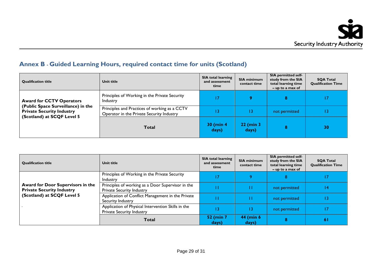# **Annex B - Guided Learning Hours, required contact time for units (Scotland)**

| <b>Qualification title</b>                                                                                                              | Unit title                                                                                 | <b>SIA total learning</b><br>and assessment<br>time | <b>SIA minimum</b><br>contact time | <b>SIA permitted self-</b><br>study from the SIA<br>total learning time<br>$-$ up to a max of | <b>SQA Total</b><br><b>Qualification Time</b> |
|-----------------------------------------------------------------------------------------------------------------------------------------|--------------------------------------------------------------------------------------------|-----------------------------------------------------|------------------------------------|-----------------------------------------------------------------------------------------------|-----------------------------------------------|
| <b>Award for CCTV Operators</b><br>(Public Space Surveillance) in the<br><b>Private Security Industry</b><br>(Scotland) at SCQF Level 5 | Principles of Working in the Private Security<br>Industry                                  |                                                     |                                    | 8                                                                                             | 17                                            |
|                                                                                                                                         | Principles and Practices of working as a CCTV<br>Operator in the Private Security Industry |                                                     |                                    | not permitted                                                                                 | 13                                            |
|                                                                                                                                         | <b>Total</b>                                                                               | $30$ (min 4)<br>days)                               | 22 (min 3<br>days)                 | 8                                                                                             | 30                                            |

| <b>Qualification title</b>                                                                          | Unit title                                                                      | <b>SIA total learning</b><br>and assessment<br>time | <b>SIA minimum</b><br>contact time | <b>SIA permitted self-</b><br>study from the SIA<br>total learning time<br>$-$ up to a max of | <b>SQA Total</b><br><b>Qualification Time</b> |
|-----------------------------------------------------------------------------------------------------|---------------------------------------------------------------------------------|-----------------------------------------------------|------------------------------------|-----------------------------------------------------------------------------------------------|-----------------------------------------------|
| Award for Door Supervisors in the<br><b>Private Security Industry</b><br>(Scotland) at SCQF Level 5 | Principles of Working in the Private Security<br>Industry                       |                                                     |                                    | 8                                                                                             | 17                                            |
|                                                                                                     | Principles of working as a Door Supervisor in the<br>Private Security Industry  |                                                     |                                    | not permitted                                                                                 | 14                                            |
|                                                                                                     | Application of Conflict Management in the Private<br>Security Industry          |                                                     |                                    | not permitted                                                                                 |                                               |
|                                                                                                     | Application of Physical Intervention Skills in the<br>Private Security Industry |                                                     | 13                                 | not permitted                                                                                 | 17                                            |
|                                                                                                     | Total                                                                           | 52 (min 7<br>days)                                  | 44 (min 6<br>days)                 | 8                                                                                             | 6 I                                           |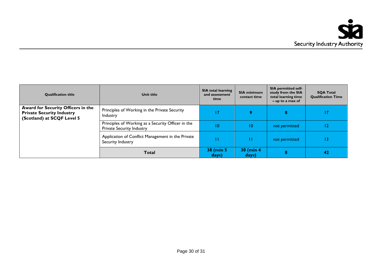| <b>Qualification title</b>                                                                           | Unit title                                                                             | <b>SIA total learning</b><br>and assessment<br>time | <b>SIA minimum</b><br>contact time | <b>SIA permitted self-</b><br>study from the SIA<br>total learning time<br>$-$ up to a max of | <b>SOA Total</b><br><b>Qualification Time</b> |
|------------------------------------------------------------------------------------------------------|----------------------------------------------------------------------------------------|-----------------------------------------------------|------------------------------------|-----------------------------------------------------------------------------------------------|-----------------------------------------------|
| Award for Security Officers in the<br><b>Private Security Industry</b><br>(Scotland) at SCQF Level 5 | Principles of Working in the Private Security<br>Industry                              |                                                     | $\bullet$                          | 8                                                                                             |                                               |
|                                                                                                      | Principles of Working as a Security Officer in the<br><b>Private Security Industry</b> | 10                                                  | 10                                 | not permitted                                                                                 | 12                                            |
|                                                                                                      | Application of Conflict Management in the Private<br>Security Industry                 |                                                     |                                    | not permitted                                                                                 | 13                                            |
|                                                                                                      | <b>Total</b>                                                                           | 38 (min 5)<br>days)                                 | 30 (min 4<br>days)                 |                                                                                               | 42                                            |